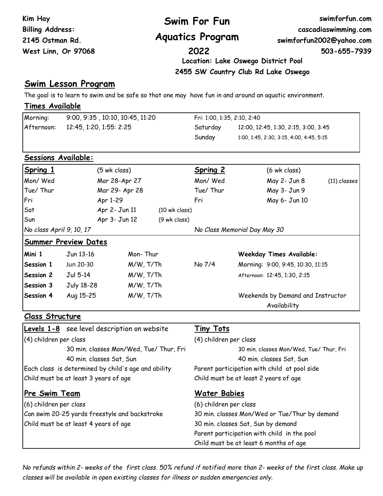| Kim Hay<br><b>Billing Address:</b><br>2145 Ostman Rd. |                                               |                                                     | Swim For Fun<br><b>Aquatics Program</b> |                                                                                                         | swimforfun.com<br>cascadiaswimming.com<br>swimforfun2002@yahoo.com |  |  |
|-------------------------------------------------------|-----------------------------------------------|-----------------------------------------------------|-----------------------------------------|---------------------------------------------------------------------------------------------------------|--------------------------------------------------------------------|--|--|
| West Linn, Or 97068                                   |                                               |                                                     | 2022                                    |                                                                                                         | 503-655-7939                                                       |  |  |
|                                                       |                                               |                                                     |                                         | Location: Lake Oswego District Pool                                                                     |                                                                    |  |  |
|                                                       |                                               |                                                     |                                         | 2455 SW Country Club Rd Lake Oswego                                                                     |                                                                    |  |  |
|                                                       | <u>Swim Lesson Program</u>                    |                                                     |                                         |                                                                                                         |                                                                    |  |  |
|                                                       |                                               |                                                     |                                         | The goal is to learn to swim and be safe so that one may have fun in and around an aquatic environment. |                                                                    |  |  |
| <b>Times Available</b>                                |                                               |                                                     |                                         |                                                                                                         |                                                                    |  |  |
| Morning:<br>9:00, 9:35, 10:10, 10:45, 11:20           |                                               |                                                     | Fri: 1:00, 1:35, 2:10, 2:40             |                                                                                                         |                                                                    |  |  |
| Afternoon:                                            |                                               | 12:45, 1:20, 1:55: 2:25                             |                                         | 12:00, 12:45, 1:30, 2:15, 3:00, 3:45                                                                    |                                                                    |  |  |
|                                                       |                                               |                                                     | Sunday                                  | 1:00, 1:45, 2:30, 3:15, 4:00, 4:45, 5:15                                                                |                                                                    |  |  |
|                                                       |                                               |                                                     |                                         |                                                                                                         |                                                                    |  |  |
| <b>Sessions Available:</b>                            |                                               |                                                     |                                         |                                                                                                         |                                                                    |  |  |
| <b>Spring 1</b>                                       |                                               | $(5 \text{ wk class})$                              | <b>Spring 2</b>                         | $(6 \text{ wk class})$                                                                                  |                                                                    |  |  |
| Mon/ Wed                                              |                                               | Mar 28-Apr 27                                       | Mon/ Wed                                | May 2- Jun 8                                                                                            | $(11)$ classes                                                     |  |  |
| Tue/ Thur                                             |                                               | Mar 29- Apr 28                                      | Tue/ Thur                               | May 3- Jun 9                                                                                            |                                                                    |  |  |
| Fri                                                   | Apr 1-29                                      |                                                     | Fri                                     | May 6- Jun 10                                                                                           |                                                                    |  |  |
| Sat                                                   |                                               | Apr 2- Jun 11<br>$(10 \text{ wk class})$            |                                         |                                                                                                         |                                                                    |  |  |
| Sun                                                   |                                               | Apr 3- Jun 12<br>(9 wk class)                       |                                         |                                                                                                         |                                                                    |  |  |
| No class April 9, 10, 17                              |                                               |                                                     |                                         | No Class Memorial Day May 30                                                                            |                                                                    |  |  |
|                                                       | <b>Summer Preview Dates</b>                   |                                                     |                                         |                                                                                                         |                                                                    |  |  |
| Mini 1                                                | Jun 13-16                                     | Mon-Thur                                            |                                         | <b>Weekday Times Available:</b>                                                                         |                                                                    |  |  |
| Session 1                                             | Jun 20-30                                     | $M/W$ , T/Th                                        | No 7/4                                  | Morning: 9:00, 9:45, 10:30, 11:15                                                                       |                                                                    |  |  |
| Session 2                                             | Jul 5-14                                      | $M/W$ , T/Th                                        |                                         | Afternoon: 12:45, 1:30, 2:15                                                                            |                                                                    |  |  |
| Session 3                                             | <b>July 18-28</b>                             | M/W, T/Th                                           |                                         |                                                                                                         |                                                                    |  |  |
| Session 4                                             | Aug 15-25                                     | M/W, T/Th                                           |                                         | Weekends by Demand and Instructor                                                                       |                                                                    |  |  |
|                                                       |                                               |                                                     |                                         | Availability                                                                                            |                                                                    |  |  |
| <b>Class Structure</b>                                |                                               |                                                     |                                         |                                                                                                         |                                                                    |  |  |
|                                                       |                                               | Levels 1-8 see level description on website         | <b>Tiny Tots</b>                        |                                                                                                         |                                                                    |  |  |
| (4) children per class                                |                                               |                                                     |                                         | (4) children per class                                                                                  |                                                                    |  |  |
|                                                       |                                               | 30 min. classes Mon/Wed, Tue/ Thur, Fri             |                                         | 30 min. classes Mon/Wed, Tue/ Thur, Fri                                                                 |                                                                    |  |  |
|                                                       | 40 min. classes Sat, Sun                      |                                                     |                                         | 40 min. classes Sat, Sun                                                                                |                                                                    |  |  |
|                                                       |                                               | Each class is determined by child's age and ability |                                         | Parent participation with child at pool side                                                            |                                                                    |  |  |
|                                                       | Child must be at least 3 years of age         |                                                     |                                         | Child must be at least 2 years of age                                                                   |                                                                    |  |  |
| <u>Pre Swim Team</u>                                  |                                               |                                                     |                                         | <u>Water Babies</u>                                                                                     |                                                                    |  |  |
| (6) children per class                                |                                               |                                                     |                                         | (6) children per class                                                                                  |                                                                    |  |  |
|                                                       | Can swim 20-25 yards freestyle and backstroke |                                                     |                                         | 30 min. classes Mon/Wed or Tue/Thur by demand                                                           |                                                                    |  |  |
|                                                       | Child must be at least 4 years of age         |                                                     |                                         | 30 min. classes Sat, Sun by demand                                                                      |                                                                    |  |  |
|                                                       |                                               |                                                     |                                         | Parent participation with child in the pool                                                             |                                                                    |  |  |
|                                                       |                                               |                                                     |                                         | Child must be at least 6 months of age                                                                  |                                                                    |  |  |

*No refunds within 2- weeks of the first class. 50% refund if notified more than 2- weeks of the first class. Make up classes will be available in open existing classes for illness or sudden emergencies only.*